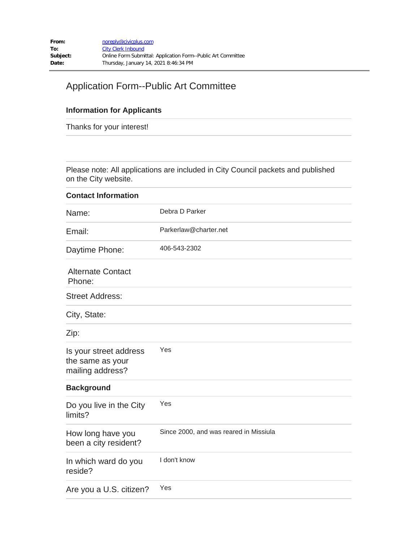## Application Form--Public Art Committee

## **Information for Applicants**

Thanks for your interest!

Please note: All applications are included in City Council packets and published on the City website.

| <b>Contact Information</b>                                     |                                        |
|----------------------------------------------------------------|----------------------------------------|
| Name:                                                          | Debra D Parker                         |
| Email:                                                         | Parkerlaw@charter.net                  |
| Daytime Phone:                                                 | 406-543-2302                           |
| <b>Alternate Contact</b><br>Phone:                             |                                        |
| <b>Street Address:</b>                                         |                                        |
| City, State:                                                   |                                        |
| Zip:                                                           |                                        |
| Is your street address<br>the same as your<br>mailing address? | Yes                                    |
| <b>Background</b>                                              |                                        |
| Do you live in the City<br>limits?                             | Yes                                    |
| How long have you<br>been a city resident?                     | Since 2000, and was reared in Missiula |
| In which ward do you<br>reside?                                | I don't know                           |
| Are you a U.S. citizen?                                        | Yes                                    |